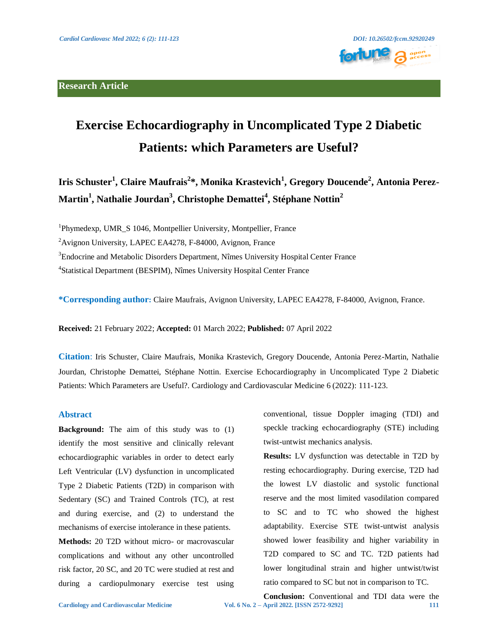## **Research Article**



# **Exercise Echocardiography in Uncomplicated Type 2 Diabetic Patients: which Parameters are Useful?**

**Iris Schuster<sup>1</sup> , Claire Maufrais<sup>2</sup> \*, Monika Krastevich<sup>1</sup> , Gregory Doucende<sup>2</sup> , Antonia Perez-Martin<sup>1</sup> , Nathalie Jourdan<sup>3</sup> , Christophe Demattei<sup>4</sup> , Stéphane Nottin<sup>2</sup>**

<sup>1</sup>Phymedexp, UMR\_S 1046, Montpellier University, Montpellier, France

<sup>2</sup>Avignon University, LAPEC EA4278, F-84000, Avignon, France

<sup>3</sup>Endocrine and Metabolic Disorders Department, Nîmes University Hospital Center France

<sup>4</sup>Statistical Department (BESPIM), Nîmes University Hospital Center France

**\*Corresponding author:** Claire Maufrais, Avignon University, LAPEC EA4278, F-84000, Avignon, France.

**Received:** 21 February 2022; **Accepted:** 01 March 2022; **Published:** 07 April 2022

**Citation**: Iris Schuster, Claire Maufrais, Monika Krastevich, Gregory Doucende, Antonia Perez-Martin, Nathalie Jourdan, Christophe Demattei, Stéphane Nottin. Exercise Echocardiography in Uncomplicated Type 2 Diabetic Patients: Which Parameters are Useful?. Cardiology and Cardiovascular Medicine 6 (2022): 111-123.

#### **Abstract**

**Background:** The aim of this study was to (1) identify the most sensitive and clinically relevant echocardiographic variables in order to detect early Left Ventricular (LV) dysfunction in uncomplicated Type 2 Diabetic Patients (T2D) in comparison with Sedentary (SC) and Trained Controls (TC), at rest and during exercise, and (2) to understand the mechanisms of exercise intolerance in these patients.

**Methods:** 20 T2D without micro- or macrovascular complications and without any other uncontrolled risk factor, 20 SC, and 20 TC were studied at rest and during a cardiopulmonary exercise test using

conventional, tissue Doppler imaging (TDI) and speckle tracking echocardiography (STE) including twist-untwist mechanics analysis.

**Results:** LV dysfunction was detectable in T2D by resting echocardiography. During exercise, T2D had the lowest LV diastolic and systolic functional reserve and the most limited vasodilation compared to SC and to TC who showed the highest adaptability. Exercise STE twist-untwist analysis showed lower feasibility and higher variability in T2D compared to SC and TC. T2D patients had lower longitudinal strain and higher untwist/twist ratio compared to SC but not in comparison to TC.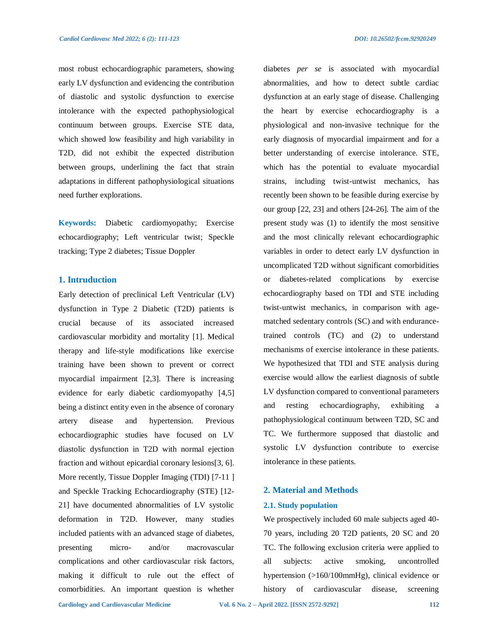most robust echocardiographic parameters, showing early LV dysfunction and evidencing the contribution of diastolic and systolic dysfunction to exercise intolerance with the expected pathophysiological continuum between groups. Exercise STE data, which showed low feasibility and high variability in T2D, did not exhibit the expected distribution between groups, underlining the fact that strain adaptations in different pathophysiological situations need further explorations.

**Keywords:** Diabetic cardiomyopathy; Exercise echocardiography; Left ventricular twist; Speckle tracking; Type 2 diabetes; Tissue Doppler

## **1. Intruduction**

Early detection of preclinical Left Ventricular (LV) dysfunction in Type 2 Diabetic (T2D) patients is crucial because of its associated increased cardiovascular morbidity and mortality [1]. Medical therapy and life-style modifications like exercise training have been shown to prevent or correct myocardial impairment [2,3]. There is increasing evidence for early diabetic cardiomyopathy [4,5] being a distinct entity even in the absence of coronary artery disease and hypertension. Previous echocardiographic studies have focused on LV diastolic dysfunction in T2D with normal ejection fraction and without epicardial coronary lesions[3, 6]. More recently, Tissue Doppler Imaging (TDI) [7-11 ] and Speckle Tracking Echocardiography (STE) [12- 21] have documented abnormalities of LV systolic deformation in T2D. However, many studies included patients with an advanced stage of diabetes, presenting micro- and/or macrovascular complications and other cardiovascular risk factors, making it difficult to rule out the effect of comorbidities. An important question is whether

diabetes *per se* is associated with myocardial abnormalities, and how to detect subtle cardiac dysfunction at an early stage of disease. Challenging the heart by exercise echocardiography is a physiological and non-invasive technique for the early diagnosis of myocardial impairment and for a better understanding of exercise intolerance. STE, which has the potential to evaluate myocardial strains, including twist-untwist mechanics, has recently been shown to be feasible during exercise by our group [22, 23] and others [24-26]. The aim of the present study was (1) to identify the most sensitive and the most clinically relevant echocardiographic variables in order to detect early LV dysfunction in uncomplicated T2D without significant comorbidities or diabetes-related complications by exercise echocardiography based on TDI and STE including twist-untwist mechanics, in comparison with agematched sedentary controls (SC) and with endurancetrained controls (TC) and (2) to understand mechanisms of exercise intolerance in these patients. We hypothesized that TDI and STE analysis during exercise would allow the earliest diagnosis of subtle LV dysfunction compared to conventional parameters and resting echocardiography, exhibiting pathophysiological continuum between T2D, SC and TC. We furthermore supposed that diastolic and systolic LV dysfunction contribute to exercise intolerance in these patients.

## **2. Material and Methods**

#### **2.1. Study population**

We prospectively included 60 male subjects aged 40- 70 years, including 20 T2D patients, 20 SC and 20 TC. The following exclusion criteria were applied to all subjects: active smoking, uncontrolled hypertension (>160/100mmHg), clinical evidence or history of cardiovascular disease, screening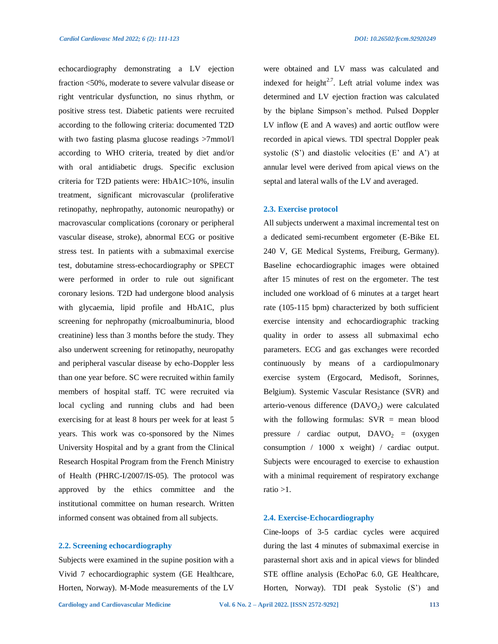echocardiography demonstrating a LV ejection fraction <50%, moderate to severe valvular disease or right ventricular dysfunction, no sinus rhythm, or positive stress test. Diabetic patients were recruited according to the following criteria: documented T2D with two fasting plasma glucose readings >7mmol/l according to WHO criteria, treated by diet and/or with oral antidiabetic drugs. Specific exclusion criteria for T2D patients were: HbA1C>10%, insulin treatment, significant microvascular (proliferative retinopathy, nephropathy, autonomic neuropathy) or macrovascular complications (coronary or peripheral vascular disease, stroke), abnormal ECG or positive stress test. In patients with a submaximal exercise test, dobutamine stress-echocardiography or SPECT were performed in order to rule out significant coronary lesions. T2D had undergone blood analysis with glycaemia, lipid profile and HbA1C, plus screening for nephropathy (microalbuminuria, blood creatinine) less than 3 months before the study. They also underwent screening for retinopathy, neuropathy and peripheral vascular disease by echo-Doppler less than one year before. SC were recruited within family members of hospital staff. TC were recruited via local cycling and running clubs and had been exercising for at least 8 hours per week for at least 5 years. This work was co-sponsored by the Nimes University Hospital and by a grant from the Clinical Research Hospital Program from the French Ministry of Health (PHRC-I/2007/IS-05). The protocol was approved by the ethics committee and the institutional committee on human research. Written informed consent was obtained from all subjects.

## **2.2. Screening echocardiography**

Subjects were examined in the supine position with a Vivid 7 echocardiographic system (GE Healthcare, Horten, Norway). M-Mode measurements of the LV were obtained and LV mass was calculated and indexed for height<sup>2.7</sup>. Left atrial volume index was determined and LV ejection fraction was calculated by the biplane Simpson's method. Pulsed Doppler LV inflow (E and A waves) and aortic outflow were recorded in apical views. TDI spectral Doppler peak systolic  $(S')$  and diastolic velocities  $(E'$  and  $A')$  at annular level were derived from apical views on the septal and lateral walls of the LV and averaged.

## **2.3. Exercise protocol**

All subjects underwent a maximal incremental test on a dedicated semi-recumbent ergometer (E-Bike EL 240 V, GE Medical Systems, Freiburg, Germany). Baseline echocardiographic images were obtained after 15 minutes of rest on the ergometer. The test included one workload of 6 minutes at a target heart rate (105-115 bpm) characterized by both sufficient exercise intensity and echocardiographic tracking quality in order to assess all submaximal echo parameters. ECG and gas exchanges were recorded continuously by means of a cardiopulmonary exercise system (Ergocard, Medisoft, Sorinnes, Belgium). Systemic Vascular Resistance (SVR) and arterio-venous difference  $(DAVO<sub>2</sub>)$  were calculated with the following formulas:  $SVR =$  mean blood pressure / cardiac output,  $DAVO<sub>2</sub> = (oxygen)$ consumption / 1000 x weight) / cardiac output. Subjects were encouraged to exercise to exhaustion with a minimal requirement of respiratory exchange ratio >1.

## **2.4. Exercise-Echocardiography**

Cine-loops of 3-5 cardiac cycles were acquired during the last 4 minutes of submaximal exercise in parasternal short axis and in apical views for blinded STE offline analysis (EchoPac 6.0, GE Healthcare, Horten, Norway). TDI peak Systolic (S') and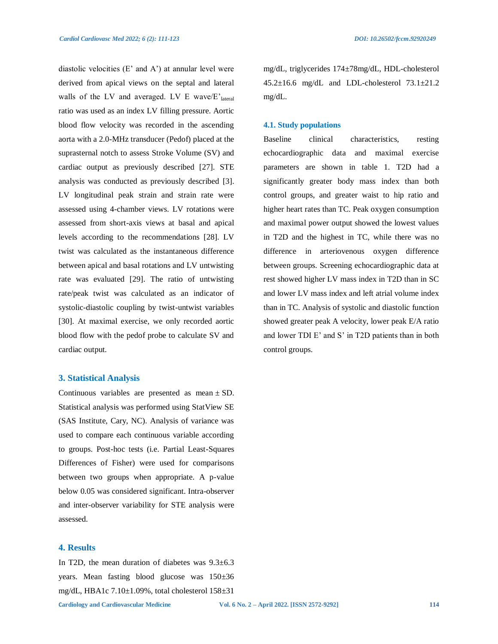diastolic velocities  $(E'$  and  $A'$ ) at annular level were derived from apical views on the septal and lateral walls of the LV and averaged. LV E wave/ $E'_{\text{lateral}}$ ratio was used as an index LV filling pressure. Aortic blood flow velocity was recorded in the ascending aorta with a 2.0-MHz transducer (Pedof) placed at the suprasternal notch to assess Stroke Volume (SV) and cardiac output as previously described [27]. STE analysis was conducted as previously described [3]. LV longitudinal peak strain and strain rate were assessed using 4-chamber views. LV rotations were assessed from short-axis views at basal and apical levels according to the recommendations [28]. LV twist was calculated as the instantaneous difference between apical and basal rotations and LV untwisting rate was evaluated [29]. The ratio of untwisting rate/peak twist was calculated as an indicator of systolic-diastolic coupling by twist-untwist variables [30]. At maximal exercise, we only recorded aortic blood flow with the pedof probe to calculate SV and cardiac output.

### **3. Statistical Analysis**

Continuous variables are presented as mean  $\pm$  SD. Statistical analysis was performed using StatView SE (SAS Institute, Cary, NC). Analysis of variance was used to compare each continuous variable according to groups. Post-hoc tests (i.e. Partial Least-Squares Differences of Fisher) were used for comparisons between two groups when appropriate. A p-value below 0.05 was considered significant. Intra-observer and inter-observer variability for STE analysis were assessed.

## **4. Results**

In T2D, the mean duration of diabetes was  $9.3\pm6.3$ years. Mean fasting blood glucose was 150±36 mg/dL, HBA1c 7.10±1.09%, total cholesterol 158±31

Baseline clinical characteristics, resting echocardiographic data and maximal exercise

**4.1. Study populations**

mg/dL.

parameters are shown in table 1. T2D had a significantly greater body mass index than both control groups, and greater waist to hip ratio and higher heart rates than TC. Peak oxygen consumption and maximal power output showed the lowest values in T2D and the highest in TC, while there was no difference in arteriovenous oxygen difference between groups. Screening echocardiographic data at rest showed higher LV mass index in T2D than in SC and lower LV mass index and left atrial volume index than in TC. Analysis of systolic and diastolic function showed greater peak A velocity, lower peak E/A ratio and lower TDI E' and S' in T2D patients than in both control groups.

mg/dL, triglycerides 174±78mg/dL, HDL-cholesterol  $45.2\pm16.6$  mg/dL and LDL-cholesterol  $73.1\pm21.2$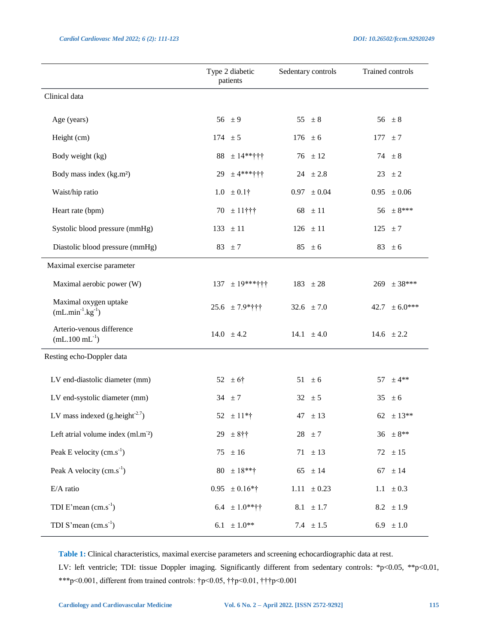|                                                         | Type 2 diabetic<br>patients | Sedentary controls | Trained controls  |
|---------------------------------------------------------|-----------------------------|--------------------|-------------------|
| Clinical data                                           |                             |                    |                   |
| Age (years)                                             | 56 $\pm 9$                  | 55 $\pm 8$         | 56 $\pm 8$        |
| Height (cm)                                             | 174 $\pm 5$                 | $176 \pm 6$        | $177 \pm 7$       |
| Body weight (kg)                                        | $88 \pm 14**$               | $76 \pm 12$        | 74 $\pm$ 8        |
| Body mass index (kg.m <sup>2</sup> )                    | 29<br>$± 4***$ **+++        | $24 \pm 2.8$       | $23 \pm 2$        |
| Waist/hip ratio                                         | $1.0 \pm 0.1$ †             | $0.97 \pm 0.04$    | $0.95 \pm 0.06$   |
| Heart rate (bpm)                                        | $70 \pm 11$ †††             | 68 $\pm 11$        | $56 \pm 8***$     |
| Systolic blood pressure (mmHg)                          | $133 \pm 11$                | $126 \pm 11$       | $125 \pm 7$       |
| Diastolic blood pressure (mmHg)                         | 83 $\pm 7$                  | $85 \pm 6$         | 83 $\pm 6$        |
| Maximal exercise parameter                              |                             |                    |                   |
| Maximal aerobic power (W)                               | $137 \pm 19***$             | 183 $\pm 28$       | $269 \pm 38***$   |
| Maximal oxygen uptake<br>$(mL.min-1.kg-1)$              | $25.6 \pm 7.9*$             | 32.6 $\pm 7.0$     | $42.7 \pm 6.0***$ |
| Arterio-venous difference<br>$(mL.100 \text{ mL}^{-1})$ | 14.0 $\pm 4.2$              | 14.1 $\pm 4.0$     | 14.6 $\pm 2.2$    |
| Resting echo-Doppler data                               |                             |                    |                   |
| LV end-diastolic diameter (mm)                          | 52 $\pm 6$ †                | $51 \pm 6$         | $±4**$<br>57      |
| LV end-systolic diameter (mm)                           | 34 $\pm 7$                  | $32 \pm 5$         | 35<br>± 6         |
| LV mass indexed $(g \text{.height}^{2.7})$              | $52 \pm 11*$ †              | $47 \pm 13$        | 62 $\pm$ 13**     |
| Left atrial volume index (ml.m <sup>-2</sup> )          | $29 \pm 8$ ††               | $28 \pm 7$         | $36 \pm 8**$      |
| Peak E velocity $(cm.s^{-1})$                           | $75 \pm 16$                 | $71 \pm 13$        | $72 \pm 15$       |
| Peak A velocity $(cm.s^{-1})$                           | $80 \pm 18**$ †             | 65 $\pm 14$        | 67 $\pm 14$       |
| E/A ratio                                               | $0.95 \pm 0.16*$ †          | $1.11 \pm 0.23$    | 1.1 $\pm 0.3$     |
| TDI E'mean $(cm.s-1)$                                   | $6.4 \pm 1.0**$ ††          | 8.1 $\pm 1.7$      | 8.2 $\pm 1.9$     |
| TDI S'mean $(cm.s-1)$                                   | $6.1 \pm 1.0**$             | 7.4 $\pm 1.5$      | 6.9 $\pm 1.0$     |

**Table 1:** Clinical characteristics, maximal exercise parameters and screening echocardiographic data at rest. LV: left ventricle; TDI: tissue Doppler imaging. Significantly different from sedentary controls: \*p<0.05, \*\*p<0.01, \*\*\*p<0.001, different from trained controls: †p<0.05, ††p<0.01, †††p<0.001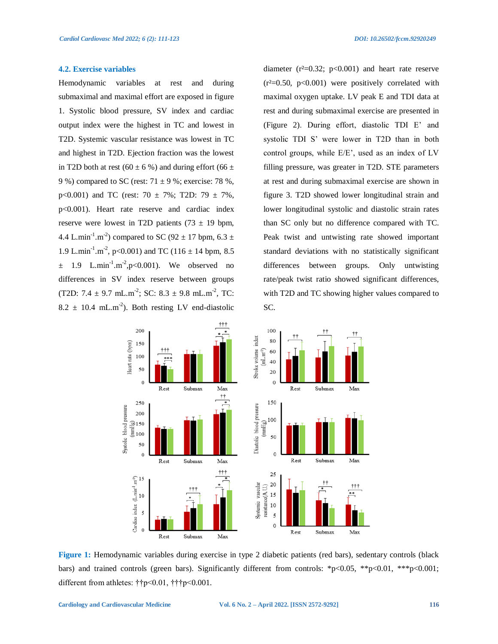#### **4.2. Exercise variables**

Hemodynamic variables at rest and during submaximal and maximal effort are exposed in figure 1. Systolic blood pressure, SV index and cardiac output index were the highest in TC and lowest in T2D. Systemic vascular resistance was lowest in TC and highest in T2D. Ejection fraction was the lowest in T2D both at rest (60  $\pm$  6 %) and during effort (66  $\pm$ 9 %) compared to SC (rest:  $71 \pm 9$  %; exercise: 78 %, p<0.001) and TC (rest:  $70 \pm 7\%$ ; T2D:  $79 \pm 7\%$ , p<0.001). Heart rate reserve and cardiac index reserve were lowest in T2D patients  $(73 \pm 19)$  bpm, 4.4 L.min<sup>-1</sup>.m<sup>-2</sup>) compared to SC (92  $\pm$  17 bpm, 6.3  $\pm$ 1.9 L.min<sup>-1</sup>.m<sup>-2</sup>, p<0.001) and TC (116  $\pm$  14 bpm, 8.5  $\pm$  1.9 L.min<sup>-1</sup>.m<sup>-2</sup>,p<0.001). We observed no differences in SV index reserve between groups (T2D: 7.4  $\pm$  9.7 mL.m<sup>-2</sup>; SC: 8.3  $\pm$  9.8 mL.m<sup>-2</sup>, TC:  $8.2 \pm 10.4$  mL.m<sup>-2</sup>). Both resting LV end-diastolic diameter  $(r^2=0.32; p<0.001)$  and heart rate reserve  $(r^2=0.50, p<0.001)$  were positively correlated with maximal oxygen uptake. LV peak E and TDI data at rest and during submaximal exercise are presented in (Figure 2). During effort, diastolic TDI E' and systolic TDI S' were lower in T2D than in both control groups, while E/E', used as an index of LV filling pressure, was greater in T2D. STE parameters at rest and during submaximal exercise are shown in figure 3. T2D showed lower longitudinal strain and lower longitudinal systolic and diastolic strain rates than SC only but no difference compared with TC. Peak twist and untwisting rate showed important standard deviations with no statistically significant differences between groups. Only untwisting rate/peak twist ratio showed significant differences, with T2D and TC showing higher values compared to SC.



**Figure 1:** Hemodynamic variables during exercise in type 2 diabetic patients (red bars), sedentary controls (black bars) and trained controls (green bars). Significantly different from controls: \*p<0.05, \*\*p<0.01, \*\*\*p<0.001; different from athletes: ††p<0.01, †††p<0.001.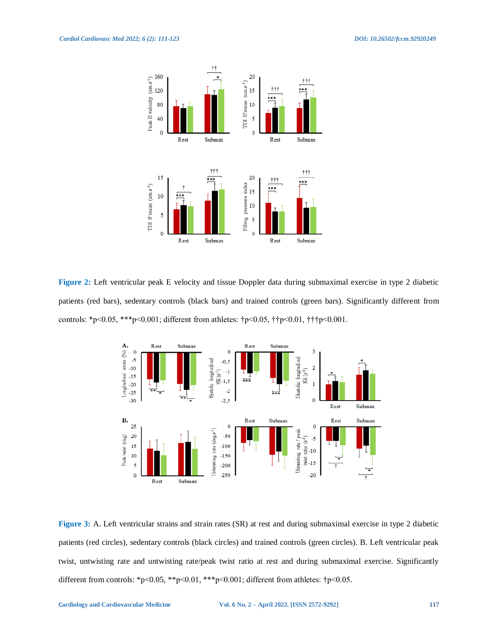

**Figure 2:** Left ventricular peak E velocity and tissue Doppler data during submaximal exercise in type 2 diabetic patients (red bars), sedentary controls (black bars) and trained controls (green bars). Significantly different from controls: \*p<0.05, \*\*\*p<0.001; different from athletes: †p<0.05, ††p<0.01, †††p<0.001.



**Figure 3:** A. Left ventricular strains and strain rates (SR) at rest and during submaximal exercise in type 2 diabetic patients (red circles), sedentary controls (black circles) and trained controls (green circles). B. Left ventricular peak twist, untwisting rate and untwisting rate/peak twist ratio at rest and during submaximal exercise. Significantly different from controls: \*p<0.05, \*\*p<0.01, \*\*\*p<0.001; different from athletes:  $\uparrow$ p<0.05.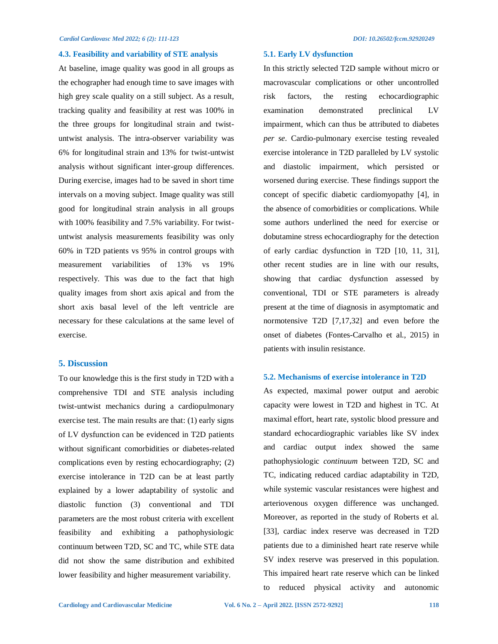#### **4.3. Feasibility and variability of STE analysis**

At baseline, image quality was good in all groups as the echographer had enough time to save images with high grey scale quality on a still subject. As a result, tracking quality and feasibility at rest was 100% in the three groups for longitudinal strain and twistuntwist analysis. The intra-observer variability was 6% for longitudinal strain and 13% for twist-untwist analysis without significant inter-group differences. During exercise, images had to be saved in short time intervals on a moving subject. Image quality was still good for longitudinal strain analysis in all groups with 100% feasibility and 7.5% variability. For twistuntwist analysis measurements feasibility was only 60% in T2D patients vs 95% in control groups with measurement variabilities of 13% vs 19% respectively. This was due to the fact that high quality images from short axis apical and from the short axis basal level of the left ventricle are necessary for these calculations at the same level of exercise.

## **5. Discussion**

To our knowledge this is the first study in T2D with a comprehensive TDI and STE analysis including twist-untwist mechanics during a cardiopulmonary exercise test. The main results are that: (1) early signs of LV dysfunction can be evidenced in T2D patients without significant comorbidities or diabetes-related complications even by resting echocardiography; (2) exercise intolerance in T2D can be at least partly explained by a lower adaptability of systolic and diastolic function (3) conventional and TDI parameters are the most robust criteria with excellent feasibility and exhibiting a pathophysiologic continuum between T2D, SC and TC, while STE data did not show the same distribution and exhibited lower feasibility and higher measurement variability.

#### **5.1. Early LV dysfunction**

In this strictly selected T2D sample without micro or macrovascular complications or other uncontrolled risk factors, the resting echocardiographic examination demonstrated preclinical LV impairment, which can thus be attributed to diabetes *per se*. Cardio-pulmonary exercise testing revealed exercise intolerance in T2D paralleled by LV systolic and diastolic impairment, which persisted or worsened during exercise. These findings support the concept of specific diabetic cardiomyopathy [4], in the absence of comorbidities or complications. While some authors underlined the need for exercise or dobutamine stress echocardiography for the detection of early cardiac dysfunction in T2D [10, 11, 31], other recent studies are in line with our results, showing that cardiac dysfunction assessed by conventional, TDI or STE parameters is already present at the time of diagnosis in asymptomatic and normotensive T2D [7,17,32] and even before the onset of diabetes (Fontes-Carvalho et al., 2015) in patients with insulin resistance.

#### **5.2. Mechanisms of exercise intolerance in T2D**

As expected, maximal power output and aerobic capacity were lowest in T2D and highest in TC. At maximal effort, heart rate, systolic blood pressure and standard echocardiographic variables like SV index and cardiac output index showed the same pathophysiologic *continuum* between T2D, SC and TC, indicating reduced cardiac adaptability in T2D, while systemic vascular resistances were highest and arteriovenous oxygen difference was unchanged. Moreover, as reported in the study of Roberts et al. [33], cardiac index reserve was decreased in T2D patients due to a diminished heart rate reserve while SV index reserve was preserved in this population. This impaired heart rate reserve which can be linked to reduced physical activity and autonomic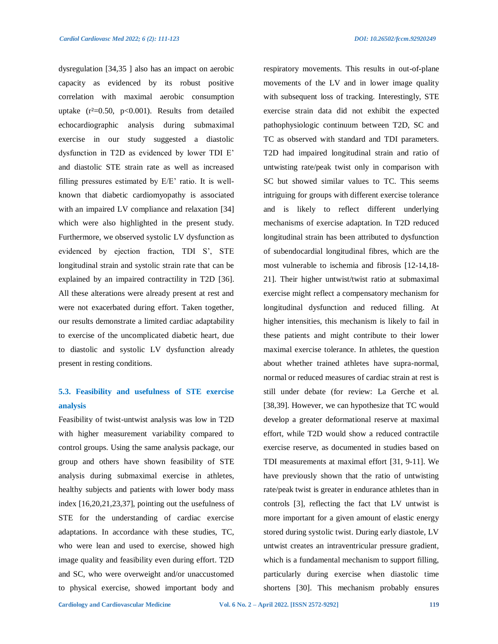dysregulation [34,35 ] also has an impact on aerobic capacity as evidenced by its robust positive correlation with maximal aerobic consumption uptake  $(r^2=0.50, p<0.001)$ . Results from detailed echocardiographic analysis during submaximal exercise in our study suggested a diastolic dysfunction in T2D as evidenced by lower TDI E' and diastolic STE strain rate as well as increased filling pressures estimated by E/E' ratio. It is wellknown that diabetic cardiomyopathy is associated with an impaired LV compliance and relaxation [34] which were also highlighted in the present study. Furthermore, we observed systolic LV dysfunction as evidenced by ejection fraction, TDI S', STE longitudinal strain and systolic strain rate that can be explained by an impaired contractility in T2D [36]. All these alterations were already present at rest and were not exacerbated during effort. Taken together, our results demonstrate a limited cardiac adaptability to exercise of the uncomplicated diabetic heart, due to diastolic and systolic LV dysfunction already present in resting conditions.

## **5.3. Feasibility and usefulness of STE exercise analysis**

Feasibility of twist-untwist analysis was low in T2D with higher measurement variability compared to control groups. Using the same analysis package, our group and others have shown feasibility of STE analysis during submaximal exercise in athletes, healthy subjects and patients with lower body mass index [16,20,21,23,37], pointing out the usefulness of STE for the understanding of cardiac exercise adaptations. In accordance with these studies, TC, who were lean and used to exercise, showed high image quality and feasibility even during effort. T2D and SC, who were overweight and/or unaccustomed to physical exercise, showed important body and

respiratory movements. This results in out-of-plane movements of the LV and in lower image quality with subsequent loss of tracking. Interestingly, STE exercise strain data did not exhibit the expected pathophysiologic continuum between T2D, SC and TC as observed with standard and TDI parameters. T2D had impaired longitudinal strain and ratio of untwisting rate/peak twist only in comparison with SC but showed similar values to TC. This seems intriguing for groups with different exercise tolerance and is likely to reflect different underlying mechanisms of exercise adaptation. In T2D reduced longitudinal strain has been attributed to dysfunction of subendocardial longitudinal fibres, which are the most vulnerable to ischemia and fibrosis [12-14,18- 21]. Their higher untwist/twist ratio at submaximal exercise might reflect a compensatory mechanism for longitudinal dysfunction and reduced filling. At higher intensities, this mechanism is likely to fail in these patients and might contribute to their lower maximal exercise tolerance. In athletes, the question about whether trained athletes have supra-normal, normal or reduced measures of cardiac strain at rest is still under debate (for review: La Gerche et al. [38,39]. However, we can hypothesize that TC would develop a greater deformational reserve at maximal effort, while T2D would show a reduced contractile exercise reserve, as documented in studies based on TDI measurements at maximal effort [31, 9-11]. We have previously shown that the ratio of untwisting rate/peak twist is greater in endurance athletes than in controls [3], reflecting the fact that LV untwist is more important for a given amount of elastic energy stored during systolic twist. During early diastole, LV untwist creates an intraventricular pressure gradient, which is a fundamental mechanism to support filling, particularly during exercise when diastolic time shortens [30]. This mechanism probably ensures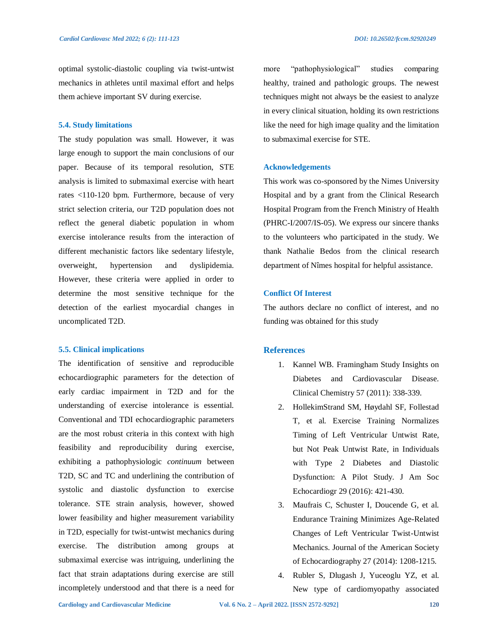optimal systolic-diastolic coupling via twist-untwist mechanics in athletes until maximal effort and helps them achieve important SV during exercise.

#### **5.4. Study limitations**

The study population was small. However, it was large enough to support the main conclusions of our paper. Because of its temporal resolution, STE analysis is limited to submaximal exercise with heart rates <110-120 bpm. Furthermore, because of very strict selection criteria, our T2D population does not reflect the general diabetic population in whom exercise intolerance results from the interaction of different mechanistic factors like sedentary lifestyle, overweight, hypertension and dyslipidemia. However, these criteria were applied in order to determine the most sensitive technique for the detection of the earliest myocardial changes in uncomplicated T2D.

#### **5.5. Clinical implications**

The identification of sensitive and reproducible echocardiographic parameters for the detection of early cardiac impairment in T2D and for the understanding of exercise intolerance is essential. Conventional and TDI echocardiographic parameters are the most robust criteria in this context with high feasibility and reproducibility during exercise, exhibiting a pathophysiologic *continuum* between T2D, SC and TC and underlining the contribution of systolic and diastolic dysfunction to exercise tolerance. STE strain analysis, however, showed lower feasibility and higher measurement variability in T2D, especially for twist-untwist mechanics during exercise. The distribution among groups at submaximal exercise was intriguing, underlining the fact that strain adaptations during exercise are still incompletely understood and that there is a need for more "pathophysiological" studies comparing healthy, trained and pathologic groups. The newest techniques might not always be the easiest to analyze in every clinical situation, holding its own restrictions like the need for high image quality and the limitation to submaximal exercise for STE.

#### **Acknowledgements**

This work was co-sponsored by the Nimes University Hospital and by a grant from the Clinical Research Hospital Program from the French Ministry of Health (PHRC-I/2007/IS-05). We express our sincere thanks to the volunteers who participated in the study. We thank Nathalie Bedos from the clinical research department of Nîmes hospital for helpful assistance.

#### **Conflict Of Interest**

The authors declare no conflict of interest, and no funding was obtained for this study

#### **References**

- 1. Kannel WB. Framingham Study Insights on Diabetes and Cardiovascular Disease. Clinical Chemistry 57 (2011): 338-339.
- 2. HollekimStrand SM, Høydahl SF, Follestad T, et al. Exercise Training Normalizes Timing of Left Ventricular Untwist Rate, but Not Peak Untwist Rate, in Individuals with Type 2 Diabetes and Diastolic Dysfunction: A Pilot Study. J Am Soc Echocardiogr 29 (2016): 421-430.
- 3. Maufrais C, Schuster I, Doucende G, et al. Endurance Training Minimizes Age-Related Changes of Left Ventricular Twist-Untwist Mechanics. Journal of the American Society of Echocardiography 27 (2014): 1208-1215.
- 4. Rubler S, Dlugash J, Yuceoglu YZ, et al. New type of cardiomyopathy associated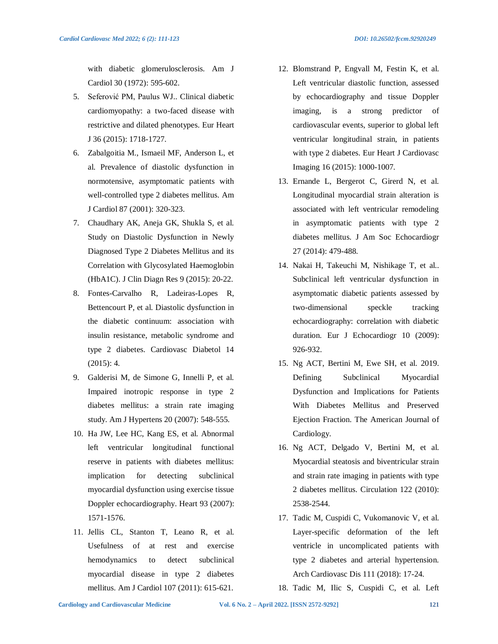with diabetic glomerulosclerosis. Am J Cardiol 30 (1972): 595-602.

- 5. Seferović PM, Paulus WJ.. Clinical diabetic cardiomyopathy: a two-faced disease with restrictive and dilated phenotypes. Eur Heart J 36 (2015): 1718-1727.
- 6. Zabalgoitia M., Ismaeil MF, Anderson L, et al. Prevalence of diastolic dysfunction in normotensive, asymptomatic patients with well-controlled type 2 diabetes mellitus. Am J Cardiol 87 (2001): 320-323.
- 7. Chaudhary AK, Aneja GK, Shukla S, et al. Study on Diastolic Dysfunction in Newly Diagnosed Type 2 Diabetes Mellitus and its Correlation with Glycosylated Haemoglobin (HbA1C). J Clin Diagn Res 9 (2015): 20-22.
- 8. Fontes-Carvalho R, Ladeiras-Lopes R, Bettencourt P, et al. Diastolic dysfunction in the diabetic continuum: association with insulin resistance, metabolic syndrome and type 2 diabetes. Cardiovasc Diabetol 14 (2015): 4.
- 9. Galderisi M, de Simone G, Innelli P, et al. Impaired inotropic response in type 2 diabetes mellitus: a strain rate imaging study. Am J Hypertens 20 (2007): 548-555.
- 10. Ha JW, Lee HC, Kang ES, et al. Abnormal left ventricular longitudinal functional reserve in patients with diabetes mellitus: implication for detecting subclinical myocardial dysfunction using exercise tissue Doppler echocardiography. Heart 93 (2007): 1571-1576.
- 11. Jellis CL, Stanton T, Leano R, et al. Usefulness of at rest and exercise hemodynamics to detect subclinical myocardial disease in type 2 diabetes mellitus. Am J Cardiol 107 (2011): 615-621.
- 12. Blomstrand P, Engvall M, Festin K, et al. Left ventricular diastolic function, assessed by echocardiography and tissue Doppler imaging, is a strong predictor of cardiovascular events, superior to global left ventricular longitudinal strain, in patients with type 2 diabetes. Eur Heart J Cardiovasc Imaging 16 (2015): 1000-1007.
- 13. Ernande L, Bergerot C, Girerd N, et al. Longitudinal myocardial strain alteration is associated with left ventricular remodeling in asymptomatic patients with type 2 diabetes mellitus. J Am Soc Echocardiogr 27 (2014): 479-488.
- 14. Nakai H, Takeuchi M, Nishikage T, et al.. Subclinical left ventricular dysfunction in asymptomatic diabetic patients assessed by two-dimensional speckle tracking echocardiography: correlation with diabetic duration. Eur J Echocardiogr 10 (2009): 926-932.
- 15. Ng ACT, Bertini M, Ewe SH, et al. 2019. Defining Subclinical Myocardial Dysfunction and Implications for Patients With Diabetes Mellitus and Preserved Ejection Fraction. The American Journal of Cardiology.
- 16. Ng ACT, Delgado V, Bertini M, et al. Myocardial steatosis and biventricular strain and strain rate imaging in patients with type 2 diabetes mellitus. Circulation 122 (2010): 2538-2544.
- 17. Tadic M, Cuspidi C, Vukomanovic V, et al. Layer-specific deformation of the left ventricle in uncomplicated patients with type 2 diabetes and arterial hypertension. Arch Cardiovasc Dis 111 (2018): 17-24.
- 18. Tadic M, Ilic S, Cuspidi C, et al. Left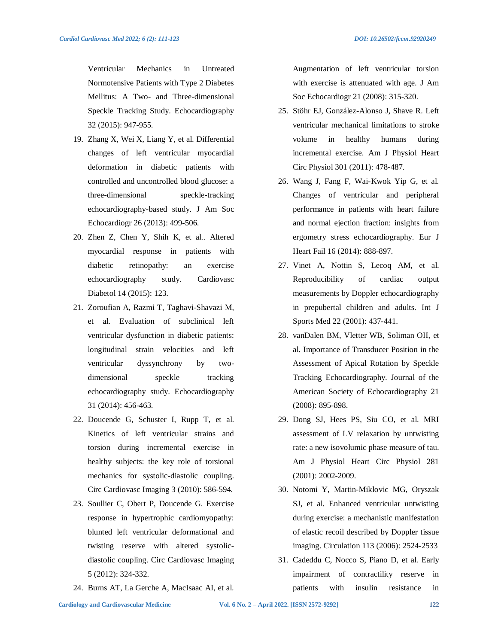Ventricular Mechanics in Untreated Normotensive Patients with Type 2 Diabetes Mellitus: A Two- and Three-dimensional Speckle Tracking Study. Echocardiography 32 (2015): 947-955.

- 19. Zhang X, Wei X, Liang Y, et al. Differential changes of left ventricular myocardial deformation in diabetic patients with controlled and uncontrolled blood glucose: a three-dimensional speckle-tracking echocardiography-based study. J Am Soc Echocardiogr 26 (2013): 499-506.
- 20. Zhen Z, Chen Y, Shih K, et al.. Altered myocardial response in patients with diabetic retinopathy: an exercise echocardiography study. Cardiovasc Diabetol 14 (2015): 123.
- 21. Zoroufian A, Razmi T, Taghavi-Shavazi M, et al. Evaluation of subclinical left ventricular dysfunction in diabetic patients: longitudinal strain velocities and left ventricular dyssynchrony by twodimensional speckle tracking echocardiography study. Echocardiography 31 (2014): 456-463.
- 22. Doucende G, Schuster I, Rupp T, et al. Kinetics of left ventricular strains and torsion during incremental exercise in healthy subjects: the key role of torsional mechanics for systolic-diastolic coupling. Circ Cardiovasc Imaging 3 (2010): 586-594.
- 23. Soullier C, Obert P, Doucende G. Exercise response in hypertrophic cardiomyopathy: blunted left ventricular deformational and twisting reserve with altered systolicdiastolic coupling. Circ Cardiovasc Imaging 5 (2012): 324-332.
- 24. Burns AT, La Gerche A, MacIsaac AI, et al.

Augmentation of left ventricular torsion with exercise is attenuated with age. J Am Soc Echocardiogr 21 (2008): 315-320.

- 25. Stöhr EJ, González-Alonso J, Shave R. Left ventricular mechanical limitations to stroke volume in healthy humans during incremental exercise. Am J Physiol Heart Circ Physiol 301 (2011): 478-487.
- 26. Wang J, Fang F, Wai-Kwok Yip G, et al. Changes of ventricular and peripheral performance in patients with heart failure and normal ejection fraction: insights from ergometry stress echocardiography. Eur J Heart Fail 16 (2014): 888-897.
- 27. Vinet A, Nottin S, Lecoq AM, et al. Reproducibility of cardiac output measurements by Doppler echocardiography in prepubertal children and adults. Int J Sports Med 22 (2001): 437-441.
- 28. vanDalen BM, Vletter WB, Soliman OII, et al. Importance of Transducer Position in the Assessment of Apical Rotation by Speckle Tracking Echocardiography. Journal of the American Society of Echocardiography 21 (2008): 895-898.
- 29. Dong SJ, Hees PS, Siu CO, et al. MRI assessment of LV relaxation by untwisting rate: a new isovolumic phase measure of tau. Am J Physiol Heart Circ Physiol 281 (2001): 2002-2009.
- 30. Notomi Y, Martin-Miklovic MG, Oryszak SJ, et al. Enhanced ventricular untwisting during exercise: a mechanistic manifestation of elastic recoil described by Doppler tissue imaging. Circulation 113 (2006): 2524-2533
- 31. Cadeddu C, Nocco S, Piano D, et al. Early impairment of contractility reserve in patients with insulin resistance in